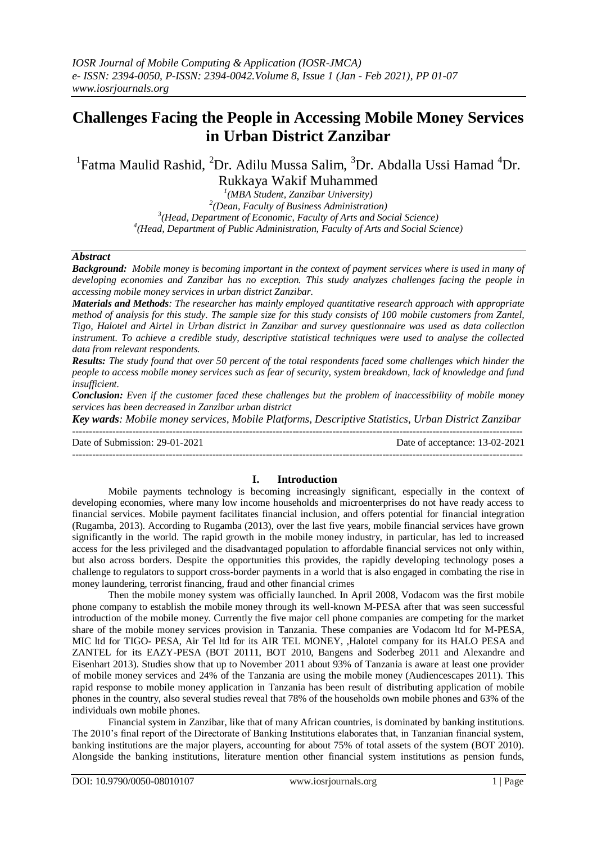# **Challenges Facing the People in Accessing Mobile Money Services in Urban District Zanzibar**

<sup>1</sup>Fatma Maulid Rashid, <sup>2</sup>Dr. Adilu Mussa Salim, <sup>3</sup>Dr. Abdalla Ussi Hamad <sup>4</sup>Dr. Rukkaya Wakif Muhammed

> *(MBA Student, Zanzibar University) (Dean, Faculty of Business Administration) (Head, Department of Economic, Faculty of Arts and Social Science) (Head, Department of Public Administration, Faculty of Arts and Social Science)*

## *Abstract*

*Background: Mobile money is becoming important in the context of payment services where is used in many of developing economies and Zanzibar has no exception. This study analyzes challenges facing the people in accessing mobile money services in urban district Zanzibar.* 

*Materials and Methods: The researcher has mainly employed quantitative research approach with appropriate method of analysis for this study. The sample size for this study consists of 100 mobile customers from Zantel, Tigo, Halotel and Airtel in Urban district in Zanzibar and survey questionnaire was used as data collection instrument. To achieve a credible study, descriptive statistical techniques were used to analyse the collected data from relevant respondents.* 

*Results: The study found that over 50 percent of the total respondents faced some challenges which hinder the people to access mobile money services such as fear of security, system breakdown, lack of knowledge and fund insufficient.* 

*Conclusion: Even if the customer faced these challenges but the problem of inaccessibility of mobile money services has been decreased in Zanzibar urban district*

*Key wards: Mobile money services, Mobile Platforms, Descriptive Statistics, Urban District Zanzibar* ---------------------------------------------------------------------------------------------------------------------------------------

Date of Submission: 29-01-2021 Date of acceptance: 13-02-2021

### **I. Introduction**

---------------------------------------------------------------------------------------------------------------------------------------

Mobile payments technology is becoming increasingly significant, especially in the context of developing economies, where many low income households and microenterprises do not have ready access to financial services. Mobile payment facilitates financial inclusion, and offers potential for financial integration (Rugamba, 2013). According to Rugamba (2013), over the last five years, mobile financial services have grown significantly in the world. The rapid growth in the mobile money industry, in particular, has led to increased access for the less privileged and the disadvantaged population to affordable financial services not only within, but also across borders. Despite the opportunities this provides, the rapidly developing technology poses a challenge to regulators to support cross-border payments in a world that is also engaged in combating the rise in money laundering, terrorist financing, fraud and other financial crimes

Then the mobile money system was officially launched. In April 2008, Vodacom was the first mobile phone company to establish the mobile money through its well-known M-PESA after that was seen successful introduction of the mobile money. Currently the five major cell phone companies are competing for the market share of the mobile money services provision in Tanzania. These companies are Vodacom ltd for M-PESA, MIC ltd for TIGO- PESA, Air Tel ltd for its AIR TEL MONEY, ,Halotel company for its HALO PESA and ZANTEL for its EAZY-PESA (BOT 20111, BOT 2010, Bangens and Soderbeg 2011 and Alexandre and Eisenhart 2013). Studies show that up to November 2011 about 93% of Tanzania is aware at least one provider of mobile money services and 24% of the Tanzania are using the mobile money (Audiencescapes 2011). This rapid response to mobile money application in Tanzania has been result of distributing application of mobile phones in the country, also several studies reveal that 78% of the households own mobile phones and 63% of the individuals own mobile phones.

Financial system in Zanzibar, like that of many African countries, is dominated by banking institutions. The 2010's final report of the Directorate of Banking Institutions elaborates that, in Tanzanian financial system, banking institutions are the major players, accounting for about 75% of total assets of the system (BOT 2010). Alongside the banking institutions, literature mention other financial system institutions as pension funds,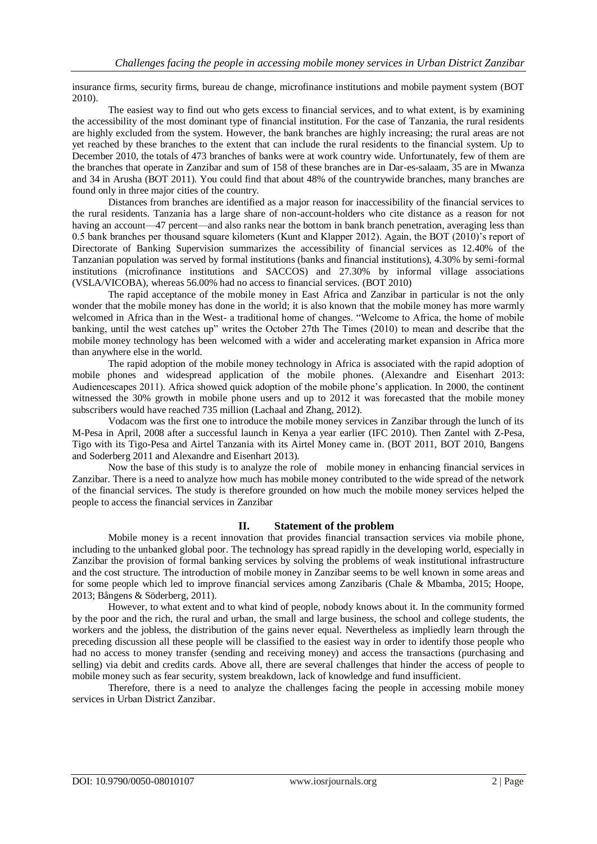insurance firms, security firms, bureau de change, microfinance institutions and mobile payment system (BOT 2010).

The easiest way to find out who gets excess to financial services, and to what extent, is by examining the accessibility of the most dominant type of financial institution. For the case of Tanzania, the rural residents are highly excluded from the system. However, the bank branches are highly increasing; the rural areas are not yet reached by these branches to the extent that can include the rural residents to the financial system. Up to December 2010, the totals of 473 branches of banks were at work country wide. Unfortunately, few of them are the branches that operate in Zanzibar and sum of 158 of these branches are in Dar-es-salaam, 35 are in Mwanza and 34 in Arusha (BOT 2011). You could find that about 48% of the countrywide branches, many branches are found only in three major cities of the country.

Distances from branches are identified as a major reason for inaccessibility of the financial services to the rural residents. Tanzania has a large share of non-account-holders who cite distance as a reason for not having an account—47 percent—and also ranks near the bottom in bank branch penetration, averaging less than 0.5 bank branches per thousand square kilometers (Kunt and Klapper 2012). Again, the BOT (2010)'s report of Directorate of Banking Supervision summarizes the accessibility of financial services as 12.40% of the Tanzanian population was served by formal institutions (banks and financial institutions), 4.30% by semi-formal institutions (microfinance institutions and SACCOS) and 27.30% by informal village associations (VSLA/VICOBA), whereas 56.00% had no access to financial services. (BOT 2010)

The rapid acceptance of the mobile money in East Africa and Zanzibar in particular is not the only wonder that the mobile money has done in the world; it is also known that the mobile money has more warmly welcomed in Africa than in the West- a traditional home of changes. "Welcome to Africa, the home of mobile banking, until the west catches up" writes the October 27th The Times (2010) to mean and describe that the mobile money technology has been welcomed with a wider and accelerating market expansion in Africa more than anywhere else in the world.

The rapid adoption of the mobile money technology in Africa is associated with the rapid adoption of mobile phones and widespread application of the mobile phones. (Alexandre and Eisenhart 2013: Audiencescapes 2011). Africa showed quick adoption of the mobile phone's application. In 2000, the continent witnessed the 30% growth in mobile phone users and up to 2012 it was forecasted that the mobile money subscribers would have reached 735 million (Lachaal and Zhang, 2012).

Vodacom was the first one to introduce the mobile money services in Zanzibar through the lunch of its M-Pesa in April, 2008 after a successful launch in Kenya a year earlier (IFC 2010). Then Zantel with Z-Pesa, Tigo with its Tigo-Pesa and Airtel Tanzania with its Airtel Money came in. (BOT 2011, BOT 2010, Bangens and Soderberg 2011 and Alexandre and Eisenhart 2013).

Now the base of this study is to analyze the role of mobile money in enhancing financial services in Zanzibar. There is a need to analyze how much has mobile money contributed to the wide spread of the network of the financial services. The study is therefore grounded on how much the mobile money services helped the people to access the financial services in Zanzibar

# **II. Statement of the problem**

Mobile money is a recent innovation that provides financial transaction services via mobile phone, including to the unbanked global poor. The technology has spread rapidly in the developing world, especially in Zanzibar the provision of formal banking services by solving the problems of weak institutional infrastructure and the cost structure. The introduction of mobile money in Zanzibar seems to be well known in some areas and for some people which led to improve financial services among Zanzibaris (Chale & Mbamba, 2015; Hoope, 2013; Bångens & Söderberg, 2011).

However, to what extent and to what kind of people, nobody knows about it. In the community formed by the poor and the rich, the rural and urban, the small and large business, the school and college students, the workers and the jobless, the distribution of the gains never equal. Nevertheless as impliedly learn through the preceding discussion all these people will be classified to the easiest way in order to identify those people who had no access to money transfer (sending and receiving money) and access the transactions (purchasing and selling) via debit and credits cards. Above all, there are several challenges that hinder the access of people to mobile money such as fear security, system breakdown, lack of knowledge and fund insufficient.

Therefore, there is a need to analyze the challenges facing the people in accessing mobile money services in Urban District Zanzibar.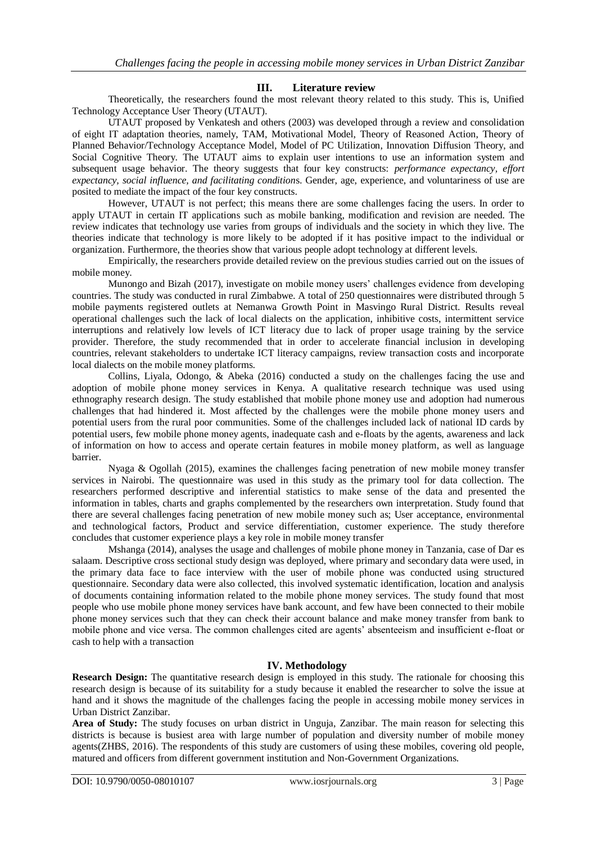# **III. Literature review**

Theoretically, the researchers found the most relevant theory related to this study. This is, Unified Technology Acceptance User Theory (UTAUT).

UTAUT proposed by Venkatesh and others (2003) was developed through a review and consolidation of eight IT adaptation theories, namely, TAM, Motivational Model, Theory of Reasoned Action, Theory of Planned Behavior/Technology Acceptance Model, Model of PC Utilization, Innovation Diffusion Theory, and Social Cognitive Theory. The UTAUT aims to explain user intentions to use an information system and subsequent usage behavior. The theory suggests that four key constructs: *performance expectancy, effort expectancy, social influence, and facilitating condition*s. Gender, age, experience, and voluntariness of use are posited to mediate the impact of the four key constructs.

However, UTAUT is not perfect; this means there are some challenges facing the users. In order to apply UTAUT in certain IT applications such as mobile banking, modification and revision are needed. The review indicates that technology use varies from groups of individuals and the society in which they live. The theories indicate that technology is more likely to be adopted if it has positive impact to the individual or organization. Furthermore, the theories show that various people adopt technology at different levels.

Empirically, the researchers provide detailed review on the previous studies carried out on the issues of mobile money.

Munongo and Bizah (2017), investigate on mobile money users' challenges evidence from developing countries. The study was conducted in rural Zimbabwe. A total of 250 questionnaires were distributed through 5 mobile payments registered outlets at Nemanwa Growth Point in Masvingo Rural District. Results reveal operational challenges such the lack of local dialects on the application, inhibitive costs, intermittent service interruptions and relatively low levels of ICT literacy due to lack of proper usage training by the service provider. Therefore, the study recommended that in order to accelerate financial inclusion in developing countries, relevant stakeholders to undertake ICT literacy campaigns, review transaction costs and incorporate local dialects on the mobile money platforms.

Collins, Liyala, Odongo, & Abeka (2016) conducted a study on the challenges facing the use and adoption of mobile phone money services in Kenya. A qualitative research technique was used using ethnography research design. The study established that mobile phone money use and adoption had numerous challenges that had hindered it. Most affected by the challenges were the mobile phone money users and potential users from the rural poor communities. Some of the challenges included lack of national ID cards by potential users, few mobile phone money agents, inadequate cash and e-floats by the agents, awareness and lack of information on how to access and operate certain features in mobile money platform, as well as language barrier.

Nyaga & Ogollah (2015), examines the challenges facing penetration of new mobile money transfer services in Nairobi. The questionnaire was used in this study as the primary tool for data collection. The researchers performed descriptive and inferential statistics to make sense of the data and presented the information in tables, charts and graphs complemented by the researchers own interpretation. Study found that there are several challenges facing penetration of new mobile money such as; User acceptance, environmental and technological factors, Product and service differentiation, customer experience. The study therefore concludes that customer experience plays a key role in mobile money transfer

Mshanga (2014), analyses the usage and challenges of mobile phone money in Tanzania, case of Dar es salaam. Descriptive cross sectional study design was deployed, where primary and secondary data were used, in the primary data face to face interview with the user of mobile phone was conducted using structured questionnaire. Secondary data were also collected, this involved systematic identification, location and analysis of documents containing information related to the mobile phone money services. The study found that most people who use mobile phone money services have bank account, and few have been connected to their mobile phone money services such that they can check their account balance and make money transfer from bank to mobile phone and vice versa. The common challenges cited are agents' absenteeism and insufficient e-float or cash to help with a transaction

# **IV. Methodology**

**Research Design:** The quantitative research design is employed in this study. The rationale for choosing this research design is because of its suitability for a study because it enabled the researcher to solve the issue at hand and it shows the magnitude of the challenges facing the people in accessing mobile money services in Urban District Zanzibar.

**Area of Study:** The study focuses on urban district in Unguja, Zanzibar. The main reason for selecting this districts is because is busiest area with large number of population and diversity number of mobile money agents(ZHBS, 2016). The respondents of this study are customers of using these mobiles, covering old people, matured and officers from different government institution and Non-Government Organizations.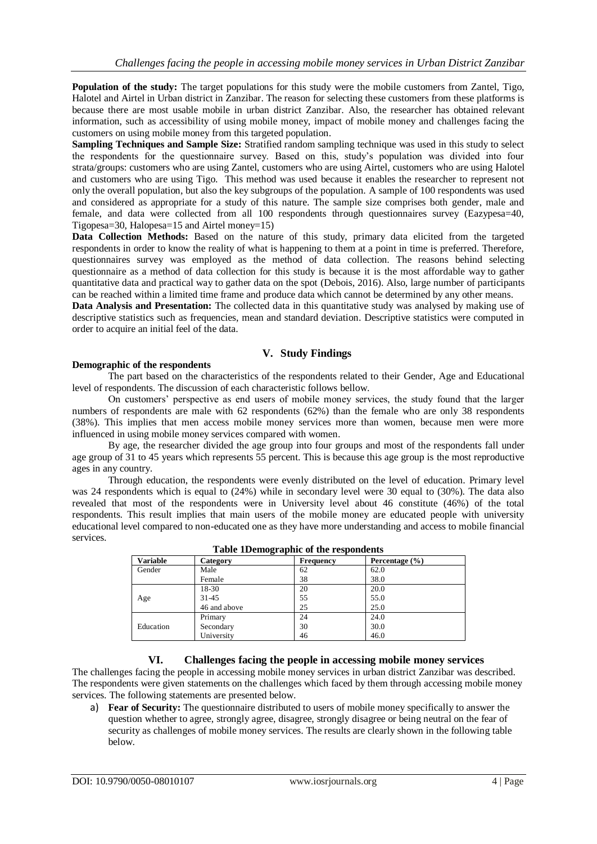**Population of the study:** The target populations for this study were the mobile customers from Zantel, Tigo, Halotel and Airtel in Urban district in Zanzibar. The reason for selecting these customers from these platforms is because there are most usable mobile in urban district Zanzibar. Also, the researcher has obtained relevant information, such as accessibility of using mobile money, impact of mobile money and challenges facing the customers on using mobile money from this targeted population.

**Sampling Techniques and Sample Size:** Stratified random sampling technique was used in this study to select the respondents for the questionnaire survey. Based on this, study's population was divided into four strata/groups: customers who are using Zantel, customers who are using Airtel, customers who are using Halotel and customers who are using Tigo. This method was used because it enables the researcher to represent not only the overall population, but also the key subgroups of the population. A sample of 100 respondents was used and considered as appropriate for a study of this nature. The sample size comprises both gender, male and female, and data were collected from all 100 respondents through questionnaires survey (Eazypesa=40, Tigopesa=30, Halopesa=15 and Airtel money=15)

Data Collection Methods: Based on the nature of this study, primary data elicited from the targeted respondents in order to know the reality of what is happening to them at a point in time is preferred. Therefore, questionnaires survey was employed as the method of data collection. The reasons behind selecting questionnaire as a method of data collection for this study is because it is [the most affordable way](http://orangegrouprsmet.blogspot.bg/2010/11/advantages-disadvantages-of.html) to gather quantitative data and practical way to gather data on the spot (Debois, 2016). Also, large number of participants can be reached within a limited time frame and produce data which cannot be determined by any other means.

**Data Analysis and Presentation:** The collected data in this quantitative study was analysed by making use of descriptive statistics such as frequencies, mean and standard deviation. Descriptive statistics were computed in order to acquire an initial feel of the data.

# **V. Study Findings**

### **Demographic of the respondents**

The part based on the characteristics of the respondents related to their Gender, Age and Educational level of respondents. The discussion of each characteristic follows bellow.

On customers' perspective as end users of mobile money services, the study found that the larger numbers of respondents are male with 62 respondents (62%) than the female who are only 38 respondents (38%). This implies that men access mobile money services more than women, because men were more influenced in using mobile money services compared with women.

By age, the researcher divided the age group into four groups and most of the respondents fall under age group of 31 to 45 years which represents 55 percent. This is because this age group is the most reproductive ages in any country.

Through education, the respondents were evenly distributed on the level of education. Primary level was 24 respondents which is equal to (24%) while in secondary level were 30 equal to (30%). The data also revealed that most of the respondents were in University level about 46 constitute (46%) of the total respondents. This result implies that main users of the mobile money are educated people with university educational level compared to non-educated one as they have more understanding and access to mobile financial services.

| Category     | Frequency | Percentage $(\% )$ |  |
|--------------|-----------|--------------------|--|
| Male         | 62        | 62.0               |  |
| Female       | 38        | 38.0               |  |
| 18-30        | 20        | 20.0               |  |
| $31 - 45$    | 55        | 55.0               |  |
| 46 and above | 25        | 25.0               |  |
| Primary      | 24        | 24.0               |  |
| Secondary    | 30        | 30.0               |  |
| University   | 46        | 46.0               |  |
|              |           | .                  |  |

|  |  |  | Table 1Demographic of the respondents |
|--|--|--|---------------------------------------|
|--|--|--|---------------------------------------|

# **VI. Challenges facing the people in accessing mobile money services**

The challenges facing the people in accessing mobile money services in urban district Zanzibar was described. The respondents were given statements on the challenges which faced by them through accessing mobile money services. The following statements are presented below.

a) **Fear of Security:** The questionnaire distributed to users of mobile money specifically to answer the question whether to agree, strongly agree, disagree, strongly disagree or being neutral on the fear of security as challenges of mobile money services. The results are clearly shown in the following table below.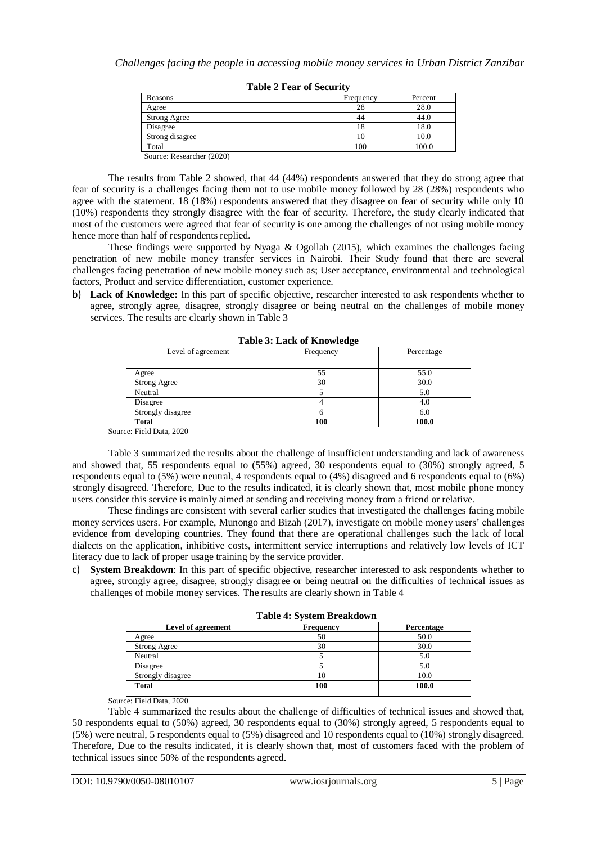| Reasons             | Frequency | Percent |
|---------------------|-----------|---------|
| Agree               | 28        | 28.0    |
| <b>Strong Agree</b> | 44        | 44.0    |
| Disagree            | 18        | 18.0    |
| Strong disagree     | 10        | 10.0    |
| Total               | 100       | 100.0   |

|  |  | <b>Table 2 Fear of Security</b> |  |
|--|--|---------------------------------|--|
|  |  |                                 |  |

Source: Researcher (2020)

The results from Table 2 showed, that 44 (44%) respondents answered that they do strong agree that fear of security is a challenges facing them not to use mobile money followed by 28 (28%) respondents who agree with the statement. 18 (18%) respondents answered that they disagree on fear of security while only 10 (10%) respondents they strongly disagree with the fear of security. Therefore, the study clearly indicated that most of the customers were agreed that fear of security is one among the challenges of not using mobile money hence more than half of respondents replied.

These findings were supported by Nyaga & Ogollah (2015), which examines the challenges facing penetration of new mobile money transfer services in Nairobi. Their Study found that there are several challenges facing penetration of new mobile money such as; User acceptance, environmental and technological factors, Product and service differentiation, customer experience.

b) **Lack of Knowledge:** In this part of specific objective, researcher interested to ask respondents whether to agree, strongly agree, disagree, strongly disagree or being neutral on the challenges of mobile money services. The results are clearly shown in Table 3

| Lable 3. Lack of Knowledge |           |            |
|----------------------------|-----------|------------|
| Level of agreement         | Frequency | Percentage |
| Agree                      | 55        | 55.0       |
| Strong Agree               | 30        | 30.0       |
| Neutral                    |           | 5.0        |
| Disagree                   |           | 4.0        |
| Strongly disagree          |           | 6.0        |
| <b>Total</b>               | 100       | 100.0      |

**Table 3: Lack of Knowledge**

Source: Field Data, 2020

Table 3 summarized the results about the challenge of insufficient understanding and lack of awareness and showed that, 55 respondents equal to (55%) agreed, 30 respondents equal to (30%) strongly agreed, 5 respondents equal to (5%) were neutral, 4 respondents equal to (4%) disagreed and 6 respondents equal to (6%) strongly disagreed. Therefore, Due to the results indicated, it is clearly shown that, most mobile phone money users consider this service is mainly aimed at sending and receiving money from a friend or relative.

These findings are consistent with several earlier studies that investigated the challenges facing mobile money services users. For example, Munongo and Bizah (2017), investigate on mobile money users' challenges evidence from developing countries. They found that there are operational challenges such the lack of local dialects on the application, inhibitive costs, intermittent service interruptions and relatively low levels of ICT literacy due to lack of proper usage training by the service provider.

c) **System Breakdown**: In this part of specific objective, researcher interested to ask respondents whether to agree, strongly agree, disagree, strongly disagree or being neutral on the difficulties of technical issues as challenges of mobile money services. The results are clearly shown in Table 4

|                     | Table 4: System Dreakdown |            |
|---------------------|---------------------------|------------|
| Level of agreement  | Frequency                 | Percentage |
| Agree               | 50                        | 50.0       |
| <b>Strong Agree</b> | 30                        | 30.0       |
| Neutral             |                           | 5.0        |
| Disagree            |                           | 5.0        |
| Strongly disagree   |                           | 10.0       |
| <b>Total</b>        | 100                       | 100.0      |
|                     |                           |            |

**Table 4: System Breakdown**

Source: Field Data, 2020

Table 4 summarized the results about the challenge of difficulties of technical issues and showed that, 50 respondents equal to (50%) agreed, 30 respondents equal to (30%) strongly agreed, 5 respondents equal to (5%) were neutral, 5 respondents equal to (5%) disagreed and 10 respondents equal to (10%) strongly disagreed. Therefore, Due to the results indicated, it is clearly shown that, most of customers faced with the problem of technical issues since 50% of the respondents agreed.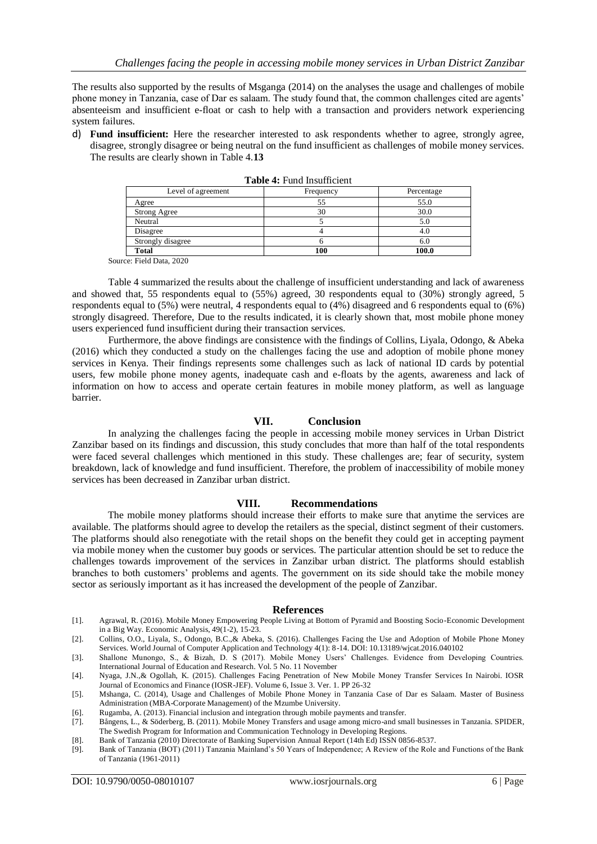The results also supported by the results of Msganga (2014) on the analyses the usage and challenges of mobile phone money in Tanzania, case of Dar es salaam. The study found that, the common challenges cited are agents' absenteeism and insufficient e-float or cash to help with a transaction and providers network experiencing system failures.

d) **Fund insufficient:** Here the researcher interested to ask respondents whether to agree, strongly agree, disagree, strongly disagree or being neutral on the fund insufficient as challenges of mobile money services. The results are clearly shown in Table 4.**13**

| Level of agreement | Frequency | Percentage |
|--------------------|-----------|------------|
| Agree              |           | 55.0       |
| Strong Agree       | 30        | 30.0       |
| Neutral            |           | 5.0        |
| Disagree           |           | 4.0        |
| Strongly disagree  |           | 6.0        |
| <b>Total</b>       | 100       | 100.0      |

|  |  | <b>Table 4:</b> Fund Insufficient |
|--|--|-----------------------------------|
|--|--|-----------------------------------|

Source: Field Data, 2020

Table 4 summarized the results about the challenge of insufficient understanding and lack of awareness and showed that, 55 respondents equal to (55%) agreed, 30 respondents equal to (30%) strongly agreed, 5 respondents equal to (5%) were neutral, 4 respondents equal to (4%) disagreed and 6 respondents equal to (6%) strongly disagreed. Therefore, Due to the results indicated, it is clearly shown that, most mobile phone money users experienced fund insufficient during their transaction services.

Furthermore, the above findings are consistence with the findings of Collins, Liyala, Odongo, & Abeka (2016) which they conducted a study on the challenges facing the use and adoption of mobile phone money services in Kenya. Their findings represents some challenges such as lack of national ID cards by potential users, few mobile phone money agents, inadequate cash and e-floats by the agents, awareness and lack of information on how to access and operate certain features in mobile money platform, as well as language barrier.

### **VII. Conclusion**

In analyzing the challenges facing the people in accessing mobile money services in Urban District Zanzibar based on its findings and discussion, this study concludes that more than half of the total respondents were faced several challenges which mentioned in this study. These challenges are; fear of security, system breakdown, lack of knowledge and fund insufficient. Therefore, the problem of inaccessibility of mobile money services has been decreased in Zanzibar urban district.

### **VIII. Recommendations**

The mobile money platforms should increase their efforts to make sure that anytime the services are available. The platforms should agree to develop the retailers as the special, distinct segment of their customers. The platforms should also renegotiate with the retail shops on the benefit they could get in accepting payment via mobile money when the customer buy goods or services. The particular attention should be set to reduce the challenges towards improvement of the services in Zanzibar urban district. The platforms should establish branches to both customers' problems and agents. The government on its side should take the mobile money sector as seriously important as it has increased the development of the people of Zanzibar.

#### **References**

- [1]. Agrawal, R. (2016). Mobile Money Empowering People Living at Bottom of Pyramid and Boosting Socio-Economic Development in a Big Way. Economic Analysis, 49(1-2), 15-23.
- [2]. Collins, O.O., Liyala, S., Odongo, B.C.,& Abeka, S. (2016). Challenges Facing the Use and Adoption of Mobile Phone Money Services. World Journal of Computer Application and Technology 4(1): 8-14. DOI: 10.13189/wjcat.2016.040102
- [3]. Shallone Munongo, S., & Bizah, D. S (2017). Mobile Money Users' Challenges. Evidence from Developing Countries. International Journal of Education and Research. Vol. 5 No. 11 November
- [4]. Nyaga, J.N.,& Ogollah, K. (2015). Challenges Facing Penetration of New Mobile Money Transfer Services In Nairobi. IOSR Journal of Economics and Finance (IOSR-JEF). Volume 6, Issue 3. Ver. 1. PP 26-32
- [5]. Mshanga, C. (2014), Usage and Challenges of Mobile Phone Money in Tanzania Case of Dar es Salaam. Master of Business Administration (MBA-Corporate Management) of the Mzumbe University.
- [6]. Rugamba, A. (2013). Financial inclusion and integration through mobile payments and transfer.
- [7]. Bångens, L., & Söderberg, B. (2011). Mobile Money Transfers and usage among micro-and small businesses in Tanzania. SPIDER, The Swedish Program for Information and Communication Technology in Developing Regions.
- [8]. Bank of Tanzania (2010) Directorate of Banking Supervision Annual Report (14th Ed) ISSN 0856-8537.
- [9]. Bank of Tanzania (BOT) (2011) Tanzania Mainland's 50 Years of Independence; A Review of the Role and Functions of the Bank of Tanzania (1961-2011)